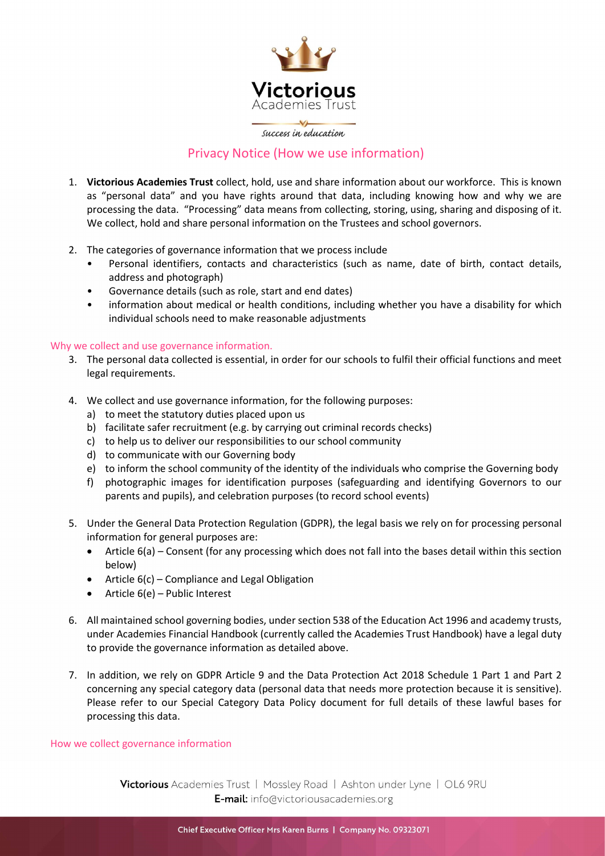

# Privacy Notice (How we use information)

- 1. Victorious Academies Trust collect, hold, use and share information about our workforce. This is known as "personal data" and you have rights around that data, including knowing how and why we are processing the data. "Processing" data means from collecting, storing, using, sharing and disposing of it. We collect, hold and share personal information on the Trustees and school governors.
- 2. The categories of governance information that we process include
	- Personal identifiers, contacts and characteristics (such as name, date of birth, contact details, address and photograph)
	- Governance details (such as role, start and end dates)
	- information about medical or health conditions, including whether you have a disability for which individual schools need to make reasonable adjustments

## Why we collect and use governance information.

- 3. The personal data collected is essential, in order for our schools to fulfil their official functions and meet legal requirements.
- 4. We collect and use governance information, for the following purposes:
	- a) to meet the statutory duties placed upon us
	- b) facilitate safer recruitment (e.g. by carrying out criminal records checks)
	- c) to help us to deliver our responsibilities to our school community
	- d) to communicate with our Governing body
	- e) to inform the school community of the identity of the individuals who comprise the Governing body
	- f) photographic images for identification purposes (safeguarding and identifying Governors to our parents and pupils), and celebration purposes (to record school events)
- 5. Under the General Data Protection Regulation (GDPR), the legal basis we rely on for processing personal information for general purposes are:
	- Article 6(a) Consent (for any processing which does not fall into the bases detail within this section below)
	- Article  $6(c)$  Compliance and Legal Obligation
	- $\bullet$  Article 6(e) Public Interest
- 6. All maintained school governing bodies, under section 538 of the Education Act 1996 and academy trusts, under Academies Financial Handbook (currently called the Academies Trust Handbook) have a legal duty to provide the governance information as detailed above.
- 7. In addition, we rely on GDPR Article 9 and the Data Protection Act 2018 Schedule 1 Part 1 and Part 2 concerning any special category data (personal data that needs more protection because it is sensitive). Please refer to our Special Category Data Policy document for full details of these lawful bases for processing this data.

### How we collect governance information

Victorious Academies Trust | Mossley Road | Ashton under Lyne | OL6 9RU E-mail: info@victoriousacademies.org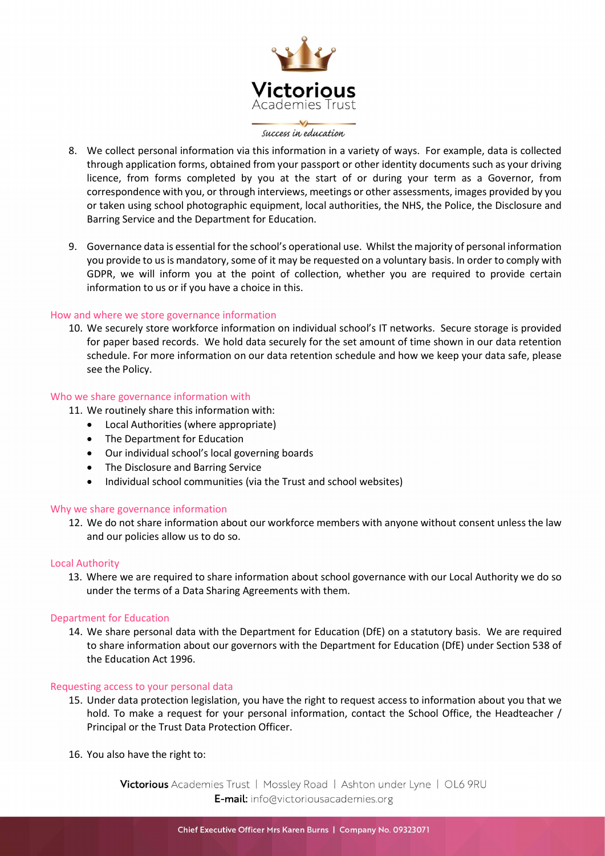

- 8. We collect personal information via this information in a variety of ways. For example, data is collected through application forms, obtained from your passport or other identity documents such as your driving licence, from forms completed by you at the start of or during your term as a Governor, from correspondence with you, or through interviews, meetings or other assessments, images provided by you or taken using school photographic equipment, local authorities, the NHS, the Police, the Disclosure and Barring Service and the Department for Education.
- 9. Governance data is essential for the school's operational use. Whilst the majority of personal information you provide to us is mandatory, some of it may be requested on a voluntary basis. In order to comply with GDPR, we will inform you at the point of collection, whether you are required to provide certain information to us or if you have a choice in this.

### How and where we store governance information

10. We securely store workforce information on individual school's IT networks. Secure storage is provided for paper based records. We hold data securely for the set amount of time shown in our data retention schedule. For more information on our data retention schedule and how we keep your data safe, please see the Policy.

## Who we share governance information with

- 11. We routinely share this information with:
	- Local Authorities (where appropriate)
	- The Department for Education
	- Our individual school's local governing boards
	- The Disclosure and Barring Service
	- Individual school communities (via the Trust and school websites)

### Why we share governance information

12. We do not share information about our workforce members with anyone without consent unless the law and our policies allow us to do so.

### Local Authority

13. Where we are required to share information about school governance with our Local Authority we do so under the terms of a Data Sharing Agreements with them.

### Department for Education

14. We share personal data with the Department for Education (DfE) on a statutory basis. We are required to share information about our governors with the Department for Education (DfE) under Section 538 of the Education Act 1996.

### Requesting access to your personal data

- 15. Under data protection legislation, you have the right to request access to information about you that we hold. To make a request for your personal information, contact the School Office, the Headteacher / Principal or the Trust Data Protection Officer.
- 16. You also have the right to:

Victorious Academies Trust | Mossley Road | Ashton under Lyne | OL6 9RU E-mail: info@victoriousacademies.org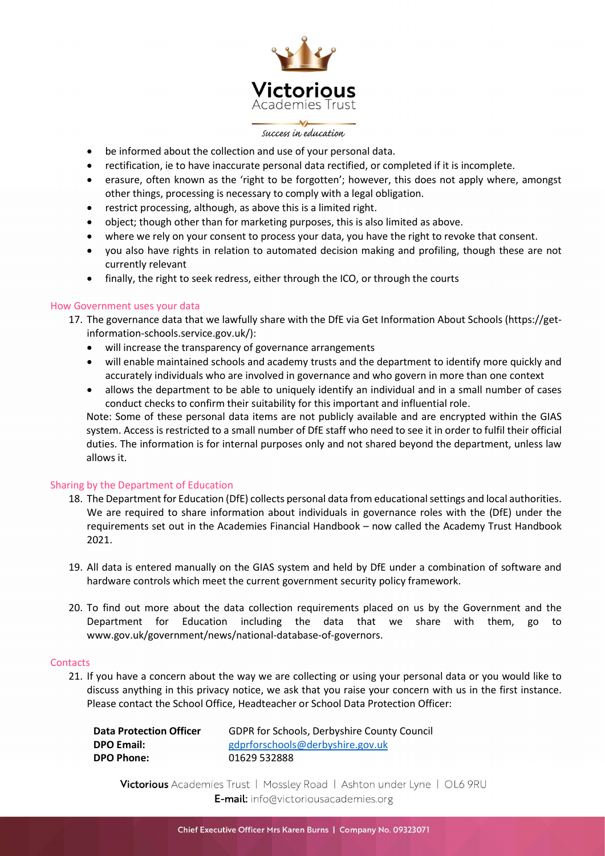

- be informed about the collection and use of your personal data.
- rectification, ie to have inaccurate personal data rectified, or completed if it is incomplete.
- erasure, often known as the 'right to be forgotten'; however, this does not apply where, amongst other things, processing is necessary to comply with a legal obligation.
- restrict processing, although, as above this is a limited right.
- object; though other than for marketing purposes, this is also limited as above.
- where we rely on your consent to process your data, you have the right to revoke that consent.
- you also have rights in relation to automated decision making and profiling, though these are not currently relevant
- finally, the right to seek redress, either through the ICO, or through the courts

### How Government uses your data

- 17. The governance data that we lawfully share with the DfE via Get Information About Schools (https://getinformation-schools.service.gov.uk/):
	- will increase the transparency of governance arrangements
	- will enable maintained schools and academy trusts and the department to identify more quickly and accurately individuals who are involved in governance and who govern in more than one context
	- allows the department to be able to uniquely identify an individual and in a small number of cases conduct checks to confirm their suitability for this important and influential role.

Note: Some of these personal data items are not publicly available and are encrypted within the GIAS system. Access is restricted to a small number of DfE staff who need to see it in order to fulfil their official duties. The information is for internal purposes only and not shared beyond the department, unless law allows it.

### Sharing by the Department of Education

- 18. The Department for Education (DfE) collects personal data from educational settings and local authorities. We are required to share information about individuals in governance roles with the (DfE) under the requirements set out in the Academies Financial Handbook – now called the Academy Trust Handbook 2021.
- 19. All data is entered manually on the GIAS system and held by DfE under a combination of software and hardware controls which meet the current government security policy framework.
- 20. To find out more about the data collection requirements placed on us by the Government and the Department for Education including the data that we share with them, go to www.gov.uk/government/news/national-database-of-governors.

### **Contacts**

21. If you have a concern about the way we are collecting or using your personal data or you would like to discuss anything in this privacy notice, we ask that you raise your concern with us in the first instance. Please contact the School Office, Headteacher or School Data Protection Officer:

DPO Phone: 01629 532888

Data Protection Officer GDPR for Schools, Derbyshire County Council DPO Email: gdprforschools@derbyshire.gov.uk

Victorious Academies Trust | Mossley Road | Ashton under Lyne | OL6 9RU E-mail: info@victoriousacademies.org